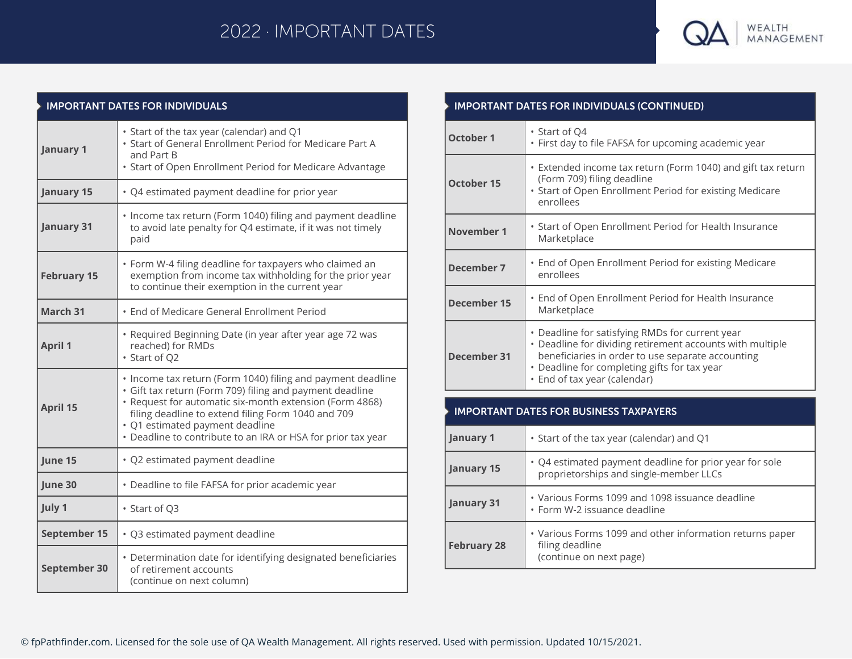# 2022 · IMPORTANT DATES



| <b>IMPORTANT DATES FOR INDIVIDUALS</b> |                                                                                                                                                                                                                                                                                                                                             |  |
|----------------------------------------|---------------------------------------------------------------------------------------------------------------------------------------------------------------------------------------------------------------------------------------------------------------------------------------------------------------------------------------------|--|
| <b>January 1</b>                       | • Start of the tax year (calendar) and Q1<br>. Start of General Enrollment Period for Medicare Part A<br>and Part B<br>• Start of Open Enrollment Period for Medicare Advantage                                                                                                                                                             |  |
| <b>January 15</b>                      | • Q4 estimated payment deadline for prior year                                                                                                                                                                                                                                                                                              |  |
| <b>January 31</b>                      | • Income tax return (Form 1040) filing and payment deadline<br>to avoid late penalty for Q4 estimate, if it was not timely<br>paid                                                                                                                                                                                                          |  |
| <b>February 15</b>                     | • Form W-4 filing deadline for taxpayers who claimed an<br>exemption from income tax withholding for the prior year<br>to continue their exemption in the current year                                                                                                                                                                      |  |
| March <sub>31</sub>                    | • End of Medicare General Enrollment Period                                                                                                                                                                                                                                                                                                 |  |
| <b>April 1</b>                         | • Required Beginning Date (in year after year age 72 was<br>reached) for RMDs<br>• Start of Q2                                                                                                                                                                                                                                              |  |
| <b>April 15</b>                        | • Income tax return (Form 1040) filing and payment deadline<br>· Gift tax return (Form 709) filing and payment deadline<br>• Request for automatic six-month extension (Form 4868)<br>filing deadline to extend filing Form 1040 and 709<br>· Q1 estimated payment deadline<br>• Deadline to contribute to an IRA or HSA for prior tax year |  |
| June 15                                | · Q2 estimated payment deadline                                                                                                                                                                                                                                                                                                             |  |
| June 30                                | • Deadline to file FAFSA for prior academic year                                                                                                                                                                                                                                                                                            |  |
| July 1                                 | • Start of Q3                                                                                                                                                                                                                                                                                                                               |  |
| September 15                           | · Q3 estimated payment deadline                                                                                                                                                                                                                                                                                                             |  |
| September 30                           | • Determination date for identifying designated beneficiaries<br>of retirement accounts<br>(continue on next column)                                                                                                                                                                                                                        |  |

| <b>IMPORTANT DATES FOR INDIVIDUALS (CONTINUED)</b> |                                                                                                                                                                                                                                                   |  |
|----------------------------------------------------|---------------------------------------------------------------------------------------------------------------------------------------------------------------------------------------------------------------------------------------------------|--|
| <b>October 1</b>                                   | • Start of Q4<br>· First day to file FAFSA for upcoming academic year                                                                                                                                                                             |  |
| <b>October 15</b>                                  | • Extended income tax return (Form 1040) and gift tax return<br>(Form 709) filing deadline<br>• Start of Open Enrollment Period for existing Medicare<br>enrollees                                                                                |  |
| November 1                                         | • Start of Open Enrollment Period for Health Insurance<br>Marketplace                                                                                                                                                                             |  |
| <b>December 7</b>                                  | • End of Open Enrollment Period for existing Medicare<br>enrollees                                                                                                                                                                                |  |
| December 15                                        | • End of Open Enrollment Period for Health Insurance<br>Marketplace                                                                                                                                                                               |  |
| December 31                                        | • Deadline for satisfying RMDs for current year<br>• Deadline for dividing retirement accounts with multiple<br>beneficiaries in order to use separate accounting<br>• Deadline for completing gifts for tax year<br>• End of tax year (calendar) |  |
|                                                    |                                                                                                                                                                                                                                                   |  |

## **IMPORTANT DATES FOR BUSINESS TAXPAYERS**

| January 1          | • Start of the tax year (calendar) and Q1                                                              |
|--------------------|--------------------------------------------------------------------------------------------------------|
| January 15         | • Q4 estimated payment deadline for prior year for sole<br>proprietorships and single-member LLCs      |
| January 31         | • Various Forms 1099 and 1098 issuance deadline<br>• Form W-2 issuance deadline                        |
| <b>February 28</b> | • Various Forms 1099 and other information returns paper<br>filing deadline<br>(continue on next page) |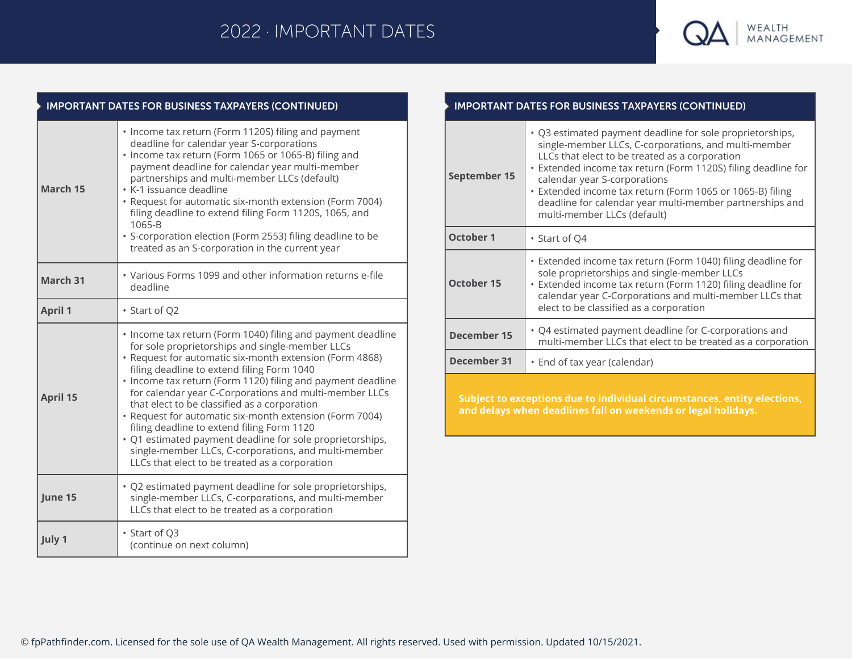## 2022 · IMPORTANT DATES



### **IMPORTANT DATES FOR BUSINESS TAXPAYERS (CONTINUED) April 1** • Start of Q2 **April 15** • Income tax return (Form 1040) filing and payment deadline for sole proprietorships and single-member LLCs • Request for automatic six-month extension (Form 4868) filing deadline to extend filing Form 1040 • Income tax return (Form 1120) filing and payment deadline for calendar year C-Corporations and multi-member LLCs that elect to be classified as a corporation • Request for automatic six-month extension (Form 7004) filing deadline to extend filing Form 1120 • Q1 estimated payment deadline for sole proprietorships, single-member LLCs, C-corporations, and multi-member LLCs that elect to be treated as a corporation **March 15** • Income tax return (Form 1120S) filing and payment deadline for calendar year S-corporations • Income tax return (Form 1065 or 1065-B) filing and payment deadline for calendar year multi-member partnerships and multi-member LLCs (default) • K-1 issuance deadline • Request for automatic six-month extension (Form 7004) filing deadline to extend filing Form 1120S, 1065, and 1065-B • S-corporation election (Form 2553) filing deadline to be treated as an S-corporation in the current year **March 31** • Various Forms 1099 and other information returns e-file deadline **June 15** • Q2 estimated payment deadline for sole proprietorships, single-member LLCs, C-corporations, and multi-member LLCs that elect to be treated as a corporation **July 1 •** Start of Q3 (continue on next column)

#### **IMPORTANT DATES FOR BUSINESS TAXPAYERS (CONTINUED)**

| September 15                                                             | • Q3 estimated payment deadline for sole proprietorships,<br>single-member LLCs, C-corporations, and multi-member<br>LLCs that elect to be treated as a corporation<br>• Extended income tax return (Form 1120S) filing deadline for<br>calendar year S-corporations<br>• Extended income tax return (Form 1065 or 1065-B) filing<br>deadline for calendar year multi-member partnerships and<br>multi-member LLCs (default) |  |
|--------------------------------------------------------------------------|------------------------------------------------------------------------------------------------------------------------------------------------------------------------------------------------------------------------------------------------------------------------------------------------------------------------------------------------------------------------------------------------------------------------------|--|
| <b>October 1</b>                                                         | • Start of O4                                                                                                                                                                                                                                                                                                                                                                                                                |  |
| <b>October 15</b>                                                        | • Extended income tax return (Form 1040) filing deadline for<br>sole proprietorships and single-member LLCs<br>• Extended income tax return (Form 1120) filing deadline for<br>calendar year C-Corporations and multi-member LLCs that<br>elect to be classified as a corporation                                                                                                                                            |  |
| December 15                                                              | • Q4 estimated payment deadline for C-corporations and<br>multi-member LLCs that elect to be treated as a corporation                                                                                                                                                                                                                                                                                                        |  |
| December 31                                                              | • End of tax year (calendar)                                                                                                                                                                                                                                                                                                                                                                                                 |  |
| Subject to exceptions due to individual circumstances, entity elections, |                                                                                                                                                                                                                                                                                                                                                                                                                              |  |

**and delays when deadlines fall on weekends or legal holidays.**